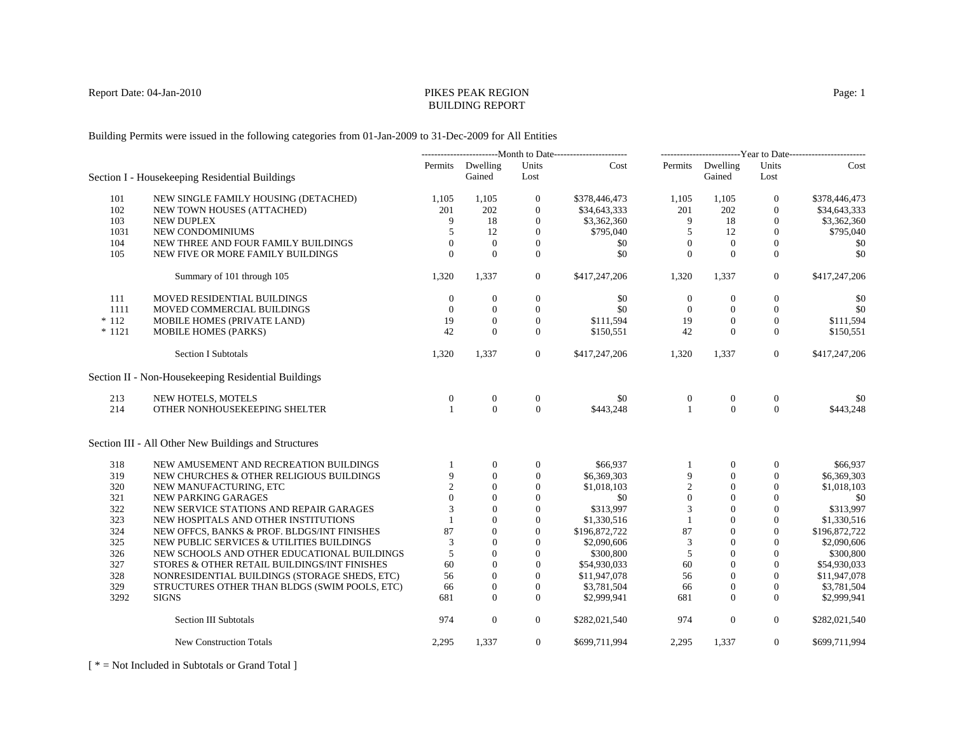# BUILDING REPORT

Building Permits were issued in the following categories from 01-Jan-2009 to 31-Dec-2009 for All Entities

|          |                                                      | ----------------------------Month to Date------------------------ |                            | -------------------------Year to Date------------------------ |               |                  |                            |                |               |
|----------|------------------------------------------------------|-------------------------------------------------------------------|----------------------------|---------------------------------------------------------------|---------------|------------------|----------------------------|----------------|---------------|
|          | Section I - Housekeeping Residential Buildings       |                                                                   | Permits Dwelling<br>Gained | Units<br>Lost                                                 | Cost          |                  | Permits Dwelling<br>Gained | Units<br>Lost  | Cost          |
| 101      | NEW SINGLE FAMILY HOUSING (DETACHED)                 | 1.105                                                             | 1,105                      | $\overline{0}$                                                | \$378,446,473 | 1,105            | 1,105                      | $\mathbf{0}$   | \$378,446,473 |
| 102      | NEW TOWN HOUSES (ATTACHED)                           | 201                                                               | 202                        | $\boldsymbol{0}$                                              | \$34,643,333  | 201              | 202                        | $\mathbf{0}$   | \$34,643,333  |
| 103      | <b>NEW DUPLEX</b>                                    | 9                                                                 | 18                         | $\mathbf{0}$                                                  | \$3,362,360   | 9                | 18                         | $\mathbf{0}$   | \$3,362,360   |
| 1031     | NEW CONDOMINIUMS                                     | 5                                                                 | 12                         | $\mathbf{0}$                                                  | \$795,040     | 5                | 12                         | $\mathbf{0}$   | \$795,040     |
| 104      | NEW THREE AND FOUR FAMILY BUILDINGS                  | $\Omega$                                                          | $\theta$                   | $\overline{0}$                                                | \$0           | $\mathbf{0}$     | $\overline{0}$             | $\mathbf{0}$   | \$0           |
| 105      | NEW FIVE OR MORE FAMILY BUILDINGS                    | $\Omega$                                                          | $\Omega$                   | $\Omega$                                                      | \$0           | $\Omega$         | $\Omega$                   | $\mathbf{0}$   | \$0           |
|          | Summary of 101 through 105                           | 1,320                                                             | 1,337                      | $\overline{0}$                                                | \$417,247,206 | 1,320            | 1,337                      | $\overline{0}$ | \$417,247,206 |
| 111      | MOVED RESIDENTIAL BUILDINGS                          | $\theta$                                                          | $\mathbf{0}$               | $\mathbf{0}$                                                  | \$0           | $\mathbf{0}$     | $\theta$                   | $\mathbf{0}$   | \$0           |
| 1111     | MOVED COMMERCIAL BUILDINGS                           | $\theta$                                                          | $\mathbf{0}$               | $\overline{0}$                                                | \$0           | $\theta$         | $\mathbf{0}$               | $\mathbf{0}$   | \$0           |
| $*112$   | MOBILE HOMES (PRIVATE LAND)                          | 19                                                                | $\theta$                   | $\mathbf{0}$                                                  | \$111,594     | 19               | $\theta$                   | $\mathbf{0}$   | \$111,594     |
| $* 1121$ | MOBILE HOMES (PARKS)                                 | 42                                                                | $\Omega$                   | $\overline{0}$                                                | \$150,551     | 42               | $\Omega$                   | $\mathbf{0}$   | \$150,551     |
|          | <b>Section I Subtotals</b>                           | 1,320                                                             | 1,337                      | $\overline{0}$                                                | \$417,247,206 | 1,320            | 1,337                      | $\overline{0}$ | \$417,247,206 |
|          | Section II - Non-Housekeeping Residential Buildings  |                                                                   |                            |                                                               |               |                  |                            |                |               |
| 213      | NEW HOTELS, MOTELS                                   | $\mathbf{0}$                                                      | $\mathbf{0}$               | $\mathbf{0}$                                                  | \$0           | $\boldsymbol{0}$ | $\mathbf{0}$               | $\overline{0}$ | \$0           |
| 214      | OTHER NONHOUSEKEEPING SHELTER                        |                                                                   | $\Omega$                   | $\Omega$                                                      | \$443.248     | $\mathbf{1}$     | $\overline{0}$             | $\overline{0}$ | \$443,248     |
|          | Section III - All Other New Buildings and Structures |                                                                   |                            |                                                               |               |                  |                            |                |               |
| 318      | NEW AMUSEMENT AND RECREATION BUILDINGS               |                                                                   | $\mathbf{0}$               | $\mathbf{0}$                                                  | \$66,937      |                  | $\Omega$                   | $\mathbf{0}$   | \$66,937      |
| 319      | NEW CHURCHES & OTHER RELIGIOUS BUILDINGS             | $\mathbf Q$                                                       | $\Omega$                   | $\mathbf{0}$                                                  | \$6,369,303   | 9                | $\mathbf{0}$               | $\mathbf{0}$   | \$6,369,303   |
| 320      | NEW MANUFACTURING, ETC                               | $\mathcal{D}_{\mathcal{L}}$                                       | $\Omega$                   | $\overline{0}$                                                | \$1,018,103   | $\overline{2}$   | $\Omega$                   | $\mathbf{0}$   | \$1,018,103   |
| 321      | NEW PARKING GARAGES                                  | $\Omega$                                                          | $\Omega$                   | $\Omega$                                                      | \$0           | $\overline{0}$   | $\Omega$                   | $\Omega$       | \$0           |
| 322      | NEW SERVICE STATIONS AND REPAIR GARAGES              |                                                                   | $\Omega$                   | $\mathbf{0}$                                                  | \$313,997     | 3                | $\Omega$                   | $\mathbf{0}$   | \$313.997     |
| 323      | NEW HOSPITALS AND OTHER INSTITUTIONS                 |                                                                   | $\mathbf{0}$               | $\overline{0}$                                                | \$1,330,516   | $\overline{1}$   | $\theta$                   | $\mathbf{0}$   | \$1,330,516   |
| 324      | NEW OFFCS, BANKS & PROF. BLDGS/INT FINISHES          | 87                                                                | $\Omega$                   | $\overline{0}$                                                | \$196,872,722 | 87               | $\mathbf{0}$               | $\mathbf{0}$   | \$196,872,722 |
| 325      | NEW PUBLIC SERVICES & UTILITIES BUILDINGS            | 3                                                                 | $\Omega$                   | $\Omega$                                                      | \$2,090,606   | 3                | $\Omega$                   | $\Omega$       | \$2,090,606   |
| 326      | NEW SCHOOLS AND OTHER EDUCATIONAL BUILDINGS          | 5                                                                 | $\Omega$                   | $\mathbf{0}$                                                  | \$300,800     | 5                | $\Omega$                   | $\mathbf{0}$   | \$300,800     |
| 327      | STORES & OTHER RETAIL BUILDINGS/INT FINISHES         | 60                                                                | $\Omega$                   | $\overline{0}$                                                | \$54,930,033  | 60               | $\theta$                   | $\mathbf{0}$   | \$54,930,033  |
| 328      | NONRESIDENTIAL BUILDINGS (STORAGE SHEDS, ETC)        | 56                                                                | $\Omega$                   | $\Omega$                                                      | \$11,947,078  | 56               | $\Omega$                   | $\Omega$       | \$11,947,078  |
| 329      | STRUCTURES OTHER THAN BLDGS (SWIM POOLS, ETC)        | 66                                                                | $\mathbf{0}$               | $\overline{0}$                                                | \$3,781,504   | 66               | $\overline{0}$             | $\mathbf{0}$   | \$3,781,504   |
| 3292     | <b>SIGNS</b>                                         | 681                                                               | $\Omega$                   | $\Omega$                                                      | \$2,999,941   | 681              | $\Omega$                   | $\mathbf{0}$   | \$2,999,941   |
|          | Section III Subtotals                                | 974                                                               | $\mathbf{0}$               | $\overline{0}$                                                | \$282,021,540 | 974              | $\mathbf{0}$               | $\overline{0}$ | \$282,021,540 |
|          | <b>New Construction Totals</b>                       | 2,295                                                             | 1,337                      | $\overline{0}$                                                | \$699,711,994 | 2,295            | 1,337                      | $\overline{0}$ | \$699,711,994 |

[ \* = Not Included in Subtotals or Grand Total ]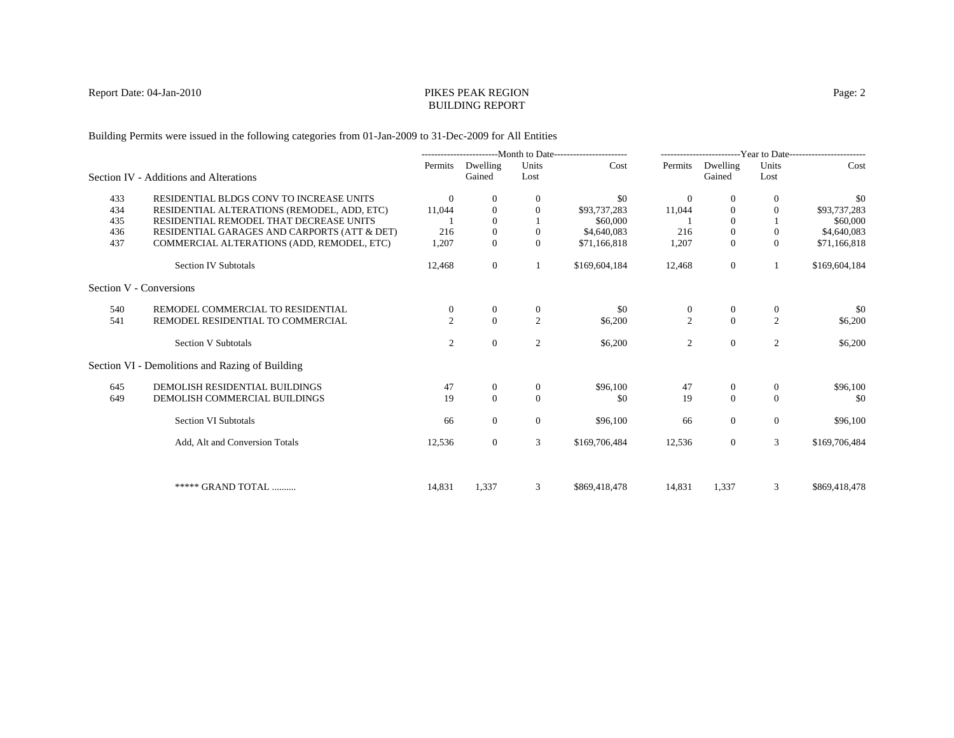#### Report Date: 04-Jan-2010 PIKES PEAK REGION BUILDING REPORT

Building Permits were issued in the following categories from 01-Jan-2009 to 31-Dec-2009 for All Entities

|     |                                                 | --------------------------Month to Date----------------------- |                    | -------------------------Year to Date------------------------ |               |                  |                    |                |               |
|-----|-------------------------------------------------|----------------------------------------------------------------|--------------------|---------------------------------------------------------------|---------------|------------------|--------------------|----------------|---------------|
|     | Section IV - Additions and Alterations          | Permits                                                        | Dwelling<br>Gained | Units<br>Lost                                                 | Cost          | Permits          | Dwelling<br>Gained | Units<br>Lost  | Cost          |
| 433 | RESIDENTIAL BLDGS CONV TO INCREASE UNITS        | $\theta$                                                       | $\theta$           | $\mathbf{0}$                                                  | \$0           | $\theta$         | $\overline{0}$     |                | \$0           |
| 434 | RESIDENTIAL ALTERATIONS (REMODEL, ADD, ETC)     | 11,044                                                         | $\mathbf{0}$       | $\mathbf{0}$                                                  | \$93,737,283  | 11,044           | $\overline{0}$     | 0              | \$93,737,283  |
| 435 | RESIDENTIAL REMODEL THAT DECREASE UNITS         |                                                                | $\Omega$           |                                                               | \$60,000      |                  | $\Omega$           |                | \$60,000      |
| 436 | RESIDENTIAL GARAGES AND CARPORTS (ATT & DET)    | 216                                                            | $\Omega$           | $\theta$                                                      | \$4,640,083   | 216              | $\Omega$           | $\theta$       | \$4,640,083   |
| 437 | COMMERCIAL ALTERATIONS (ADD, REMODEL, ETC)      | 1,207                                                          | $\overline{0}$     | $\Omega$                                                      | \$71,166,818  | 1,207            | $\theta$           | $\Omega$       | \$71,166,818  |
|     | <b>Section IV Subtotals</b>                     | 12,468                                                         | $\overline{0}$     |                                                               | \$169,604,184 | 12,468           | $\overline{0}$     |                | \$169,604,184 |
|     | Section V - Conversions                         |                                                                |                    |                                                               |               |                  |                    |                |               |
| 540 | REMODEL COMMERCIAL TO RESIDENTIAL               | $\overline{0}$                                                 | $\boldsymbol{0}$   | $\mathbf{0}$                                                  | \$0           | $\boldsymbol{0}$ | $\mathbf{0}$       | $\mathbf{0}$   | -\$0          |
| 541 | REMODEL RESIDENTIAL TO COMMERCIAL               | $\mathfrak{D}$                                                 | $\Omega$           | $\overline{2}$                                                | \$6,200       | $\overline{2}$   | $\Omega$           | 2              | \$6,200       |
|     | <b>Section V Subtotals</b>                      | 2                                                              | $\Omega$           | $\mathfrak{2}$                                                | \$6,200       | $\mathfrak{2}$   | $\overline{0}$     | 2              | \$6,200       |
|     | Section VI - Demolitions and Razing of Building |                                                                |                    |                                                               |               |                  |                    |                |               |
| 645 | DEMOLISH RESIDENTIAL BUILDINGS                  | 47                                                             | $\theta$           | $\theta$                                                      | \$96,100      | 47               | $\theta$           | $\theta$       | \$96,100      |
| 649 | DEMOLISH COMMERCIAL BUILDINGS                   | 19                                                             | $\Omega$           | $\Omega$                                                      | \$0           | 19               | $\theta$           | $\Omega$       | \$0           |
|     | <b>Section VI Subtotals</b>                     | 66                                                             | $\mathbf{0}$       | $\mathbf{0}$                                                  | \$96,100      | 66               | $\overline{0}$     | $\overline{0}$ | \$96,100      |
|     | Add, Alt and Conversion Totals                  | 12,536                                                         | $\overline{0}$     | 3                                                             | \$169,706,484 | 12,536           | $\mathbf{0}$       | 3              | \$169,706,484 |
|     |                                                 |                                                                |                    |                                                               |               |                  |                    |                |               |
|     | ***** GRAND TOTAL                               | 14,831                                                         | 1,337              | 3                                                             | \$869,418,478 | 14,831           | 1,337              | 3              | \$869,418,478 |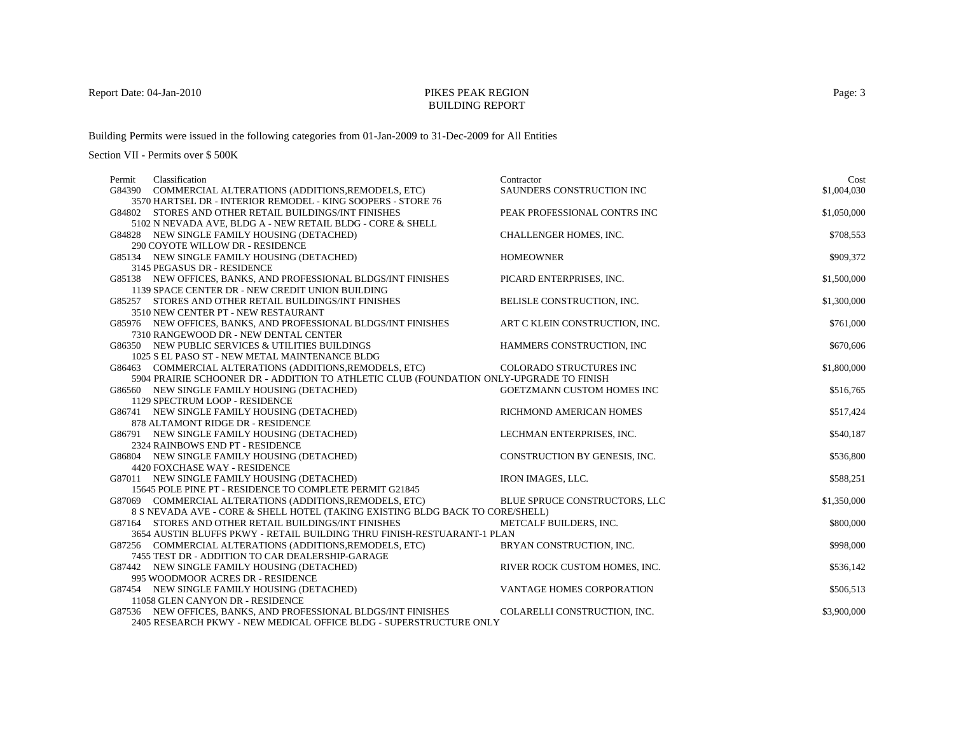### BUILDING REPORT

Building Permits were issued in the following categories from 01-Jan-2009 to 31-Dec-2009 for All Entities

| Classification<br>Permit                                                                | Contractor                     | Cost        |
|-----------------------------------------------------------------------------------------|--------------------------------|-------------|
| G84390 COMMERCIAL ALTERATIONS (ADDITIONS, REMODELS, ETC)                                | SAUNDERS CONSTRUCTION INC      | \$1,004,030 |
| 3570 HARTSEL DR - INTERIOR REMODEL - KING SOOPERS - STORE 76                            |                                |             |
| G84802 STORES AND OTHER RETAIL BUILDINGS/INT FINISHES                                   | PEAK PROFESSIONAL CONTRS INC   | \$1,050,000 |
| 5102 N NEVADA AVE, BLDG A - NEW RETAIL BLDG - CORE & SHELL                              |                                |             |
| G84828 NEW SINGLE FAMILY HOUSING (DETACHED)                                             | CHALLENGER HOMES, INC.         | \$708,553   |
| 290 COYOTE WILLOW DR - RESIDENCE                                                        |                                |             |
| G85134 NEW SINGLE FAMILY HOUSING (DETACHED)                                             | <b>HOMEOWNER</b>               | \$909,372   |
| 3145 PEGASUS DR - RESIDENCE                                                             |                                |             |
| G85138 NEW OFFICES, BANKS, AND PROFESSIONAL BLDGS/INT FINISHES                          | PICARD ENTERPRISES, INC.       | \$1,500,000 |
| 1139 SPACE CENTER DR - NEW CREDIT UNION BUILDING                                        |                                |             |
| G85257 STORES AND OTHER RETAIL BUILDINGS/INT FINISHES                                   | BELISLE CONSTRUCTION, INC.     | \$1,300,000 |
| 3510 NEW CENTER PT - NEW RESTAURANT                                                     |                                |             |
| G85976 NEW OFFICES, BANKS, AND PROFESSIONAL BLDGS/INT FINISHES                          | ART C KLEIN CONSTRUCTION, INC. | \$761,000   |
| 7310 RANGEWOOD DR - NEW DENTAL CENTER                                                   |                                |             |
| G86350 NEW PUBLIC SERVICES & UTILITIES BUILDINGS                                        | HAMMERS CONSTRUCTION, INC      | \$670,606   |
| 1025 S EL PASO ST - NEW METAL MAINTENANCE BLDG                                          |                                |             |
| G86463 COMMERCIAL ALTERATIONS (ADDITIONS, REMODELS, ETC)                                | COLORADO STRUCTURES INC        | \$1,800,000 |
| 5904 PRAIRIE SCHOONER DR - ADDITION TO ATHLETIC CLUB (FOUNDATION ONLY-UPGRADE TO FINISH |                                |             |
| G86560 NEW SINGLE FAMILY HOUSING (DETACHED)                                             | GOETZMANN CUSTOM HOMES INC     | \$516,765   |
| 1129 SPECTRUM LOOP - RESIDENCE                                                          |                                |             |
| G86741 NEW SINGLE FAMILY HOUSING (DETACHED)                                             | RICHMOND AMERICAN HOMES        | \$517,424   |
| 878 ALTAMONT RIDGE DR - RESIDENCE                                                       |                                |             |
| G86791 NEW SINGLE FAMILY HOUSING (DETACHED)                                             | LECHMAN ENTERPRISES, INC.      | \$540,187   |
| 2324 RAINBOWS END PT - RESIDENCE                                                        |                                |             |
| G86804 NEW SINGLE FAMILY HOUSING (DETACHED)                                             | CONSTRUCTION BY GENESIS, INC.  | \$536,800   |
| 4420 FOXCHASE WAY - RESIDENCE                                                           |                                |             |
| G87011 NEW SINGLE FAMILY HOUSING (DETACHED)                                             | <b>IRON IMAGES, LLC.</b>       | \$588,251   |
| 15645 POLE PINE PT - RESIDENCE TO COMPLETE PERMIT G21845                                |                                |             |
| G87069 COMMERCIAL ALTERATIONS (ADDITIONS, REMODELS, ETC)                                | BLUE SPRUCE CONSTRUCTORS, LLC  | \$1,350,000 |
| 8 S NEVADA AVE - CORE & SHELL HOTEL (TAKING EXISTING BLDG BACK TO CORE/SHELL)           |                                |             |
| G87164 STORES AND OTHER RETAIL BUILDINGS/INT FINISHES                                   | METCALF BUILDERS, INC.         | \$800,000   |
| 3654 AUSTIN BLUFFS PKWY - RETAIL BUILDING THRU FINISH-RESTUARANT-1 PLAN                 |                                |             |
| G87256 COMMERCIAL ALTERATIONS (ADDITIONS, REMODELS, ETC)                                | BRYAN CONSTRUCTION, INC.       | \$998,000   |
| 7455 TEST DR - ADDITION TO CAR DEALERSHIP-GARAGE                                        |                                |             |
| G87442 NEW SINGLE FAMILY HOUSING (DETACHED)                                             | RIVER ROCK CUSTOM HOMES, INC.  | \$536,142   |
| 995 WOODMOOR ACRES DR - RESIDENCE                                                       |                                |             |
| G87454 NEW SINGLE FAMILY HOUSING (DETACHED)                                             | VANTAGE HOMES CORPORATION      | \$506,513   |
| 11058 GLEN CANYON DR - RESIDENCE                                                        |                                |             |
| G87536 NEW OFFICES, BANKS, AND PROFESSIONAL BLDGS/INT FINISHES                          | COLARELLI CONSTRUCTION, INC.   | \$3,900,000 |
| 2405 RESEARCH PKWY - NEW MEDICAL OFFICE BLDG - SUPERSTRUCTURE ONLY                      |                                |             |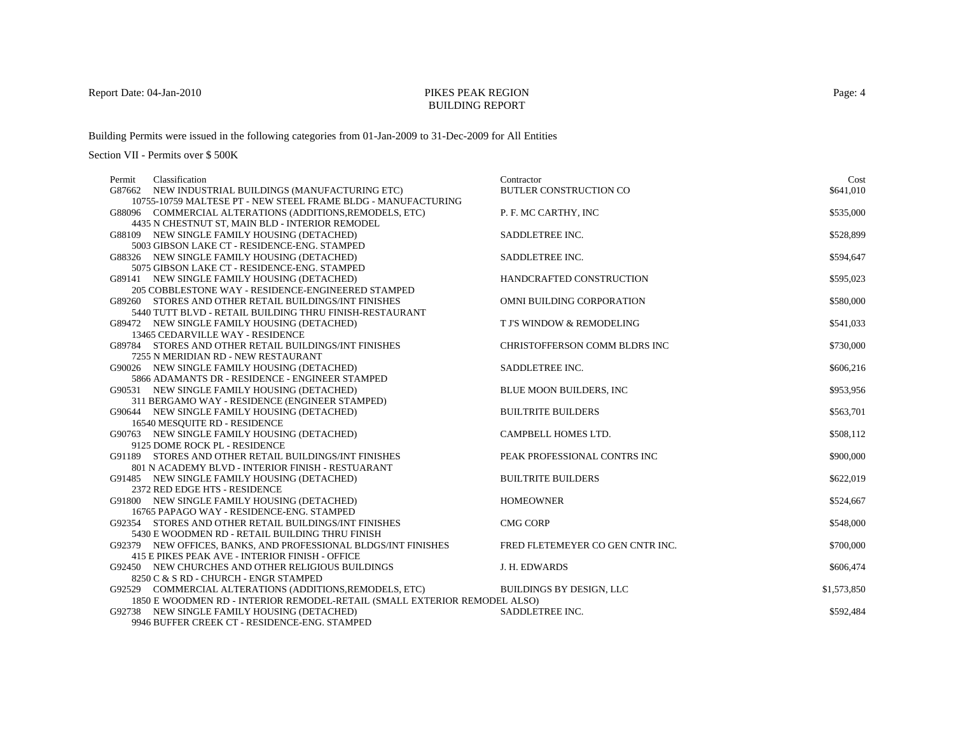## BUILDING REPORT

Building Permits were issued in the following categories from 01-Jan-2009 to 31-Dec-2009 for All Entities

| Classification<br>Permit                                                                                                              | Contractor                       | Cost        |
|---------------------------------------------------------------------------------------------------------------------------------------|----------------------------------|-------------|
| G87662 NEW INDUSTRIAL BUILDINGS (MANUFACTURING ETC)                                                                                   | BUTLER CONSTRUCTION CO           | \$641,010   |
| 10755-10759 MALTESE PT - NEW STEEL FRAME BLDG - MANUFACTURING                                                                         |                                  |             |
| G88096 COMMERCIAL ALTERATIONS (ADDITIONS, REMODELS, ETC)                                                                              | P. F. MC CARTHY, INC             | \$535,000   |
| 4435 N CHESTNUT ST, MAIN BLD - INTERIOR REMODEL                                                                                       |                                  |             |
| G88109 NEW SINGLE FAMILY HOUSING (DETACHED)                                                                                           | SADDLETREE INC.                  | \$528,899   |
| 5003 GIBSON LAKE CT - RESIDENCE-ENG. STAMPED                                                                                          |                                  |             |
| G88326 NEW SINGLE FAMILY HOUSING (DETACHED)                                                                                           | SADDLETREE INC.                  | \$594,647   |
| 5075 GIBSON LAKE CT - RESIDENCE-ENG. STAMPED                                                                                          |                                  |             |
| G89141 NEW SINGLE FAMILY HOUSING (DETACHED)                                                                                           | HANDCRAFTED CONSTRUCTION         | \$595,023   |
| 205 COBBLESTONE WAY - RESIDENCE-ENGINEERED STAMPED                                                                                    |                                  |             |
| G89260 STORES AND OTHER RETAIL BUILDINGS/INT FINISHES                                                                                 | OMNI BUILDING CORPORATION        | \$580,000   |
| 5440 TUTT BLVD - RETAIL BUILDING THRU FINISH-RESTAURANT                                                                               |                                  |             |
| G89472 NEW SINGLE FAMILY HOUSING (DETACHED)                                                                                           | T J'S WINDOW & REMODELING        | \$541,033   |
| 13465 CEDARVILLE WAY - RESIDENCE                                                                                                      |                                  |             |
| G89784 STORES AND OTHER RETAIL BUILDINGS/INT FINISHES                                                                                 | CHRISTOFFERSON COMM BLDRS INC    | \$730,000   |
| 7255 N MERIDIAN RD - NEW RESTAURANT                                                                                                   |                                  |             |
| G90026 NEW SINGLE FAMILY HOUSING (DETACHED)                                                                                           | SADDLETREE INC.                  | \$606,216   |
| 5866 ADAMANTS DR - RESIDENCE - ENGINEER STAMPED                                                                                       |                                  |             |
| G90531 NEW SINGLE FAMILY HOUSING (DETACHED)                                                                                           | BLUE MOON BUILDERS, INC          | \$953,956   |
| 311 BERGAMO WAY - RESIDENCE (ENGINEER STAMPED)                                                                                        |                                  |             |
| G90644 NEW SINGLE FAMILY HOUSING (DETACHED)                                                                                           | <b>BUILTRITE BUILDERS</b>        | \$563,701   |
| 16540 MESQUITE RD - RESIDENCE                                                                                                         |                                  |             |
| G90763 NEW SINGLE FAMILY HOUSING (DETACHED)                                                                                           | CAMPBELL HOMES LTD.              | \$508,112   |
| 9125 DOME ROCK PL - RESIDENCE                                                                                                         |                                  |             |
| G91189 STORES AND OTHER RETAIL BUILDINGS/INT FINISHES                                                                                 | PEAK PROFESSIONAL CONTRS INC     | \$900,000   |
| 801 N ACADEMY BLVD - INTERIOR FINISH - RESTUARANT                                                                                     |                                  |             |
| G91485 NEW SINGLE FAMILY HOUSING (DETACHED)                                                                                           | <b>BUILTRITE BUILDERS</b>        | \$622,019   |
| 2372 RED EDGE HTS - RESIDENCE                                                                                                         |                                  |             |
| G91800 NEW SINGLE FAMILY HOUSING (DETACHED)                                                                                           | <b>HOMEOWNER</b>                 | \$524,667   |
| 16765 PAPAGO WAY - RESIDENCE-ENG. STAMPED                                                                                             |                                  |             |
| G92354 STORES AND OTHER RETAIL BUILDINGS/INT FINISHES                                                                                 | <b>CMG CORP</b>                  | \$548,000   |
| 5430 E WOODMEN RD - RETAIL BUILDING THRU FINISH                                                                                       |                                  |             |
| G92379 NEW OFFICES, BANKS, AND PROFESSIONAL BLDGS/INT FINISHES                                                                        | FRED FLETEMEYER CO GEN CNTR INC. | \$700,000   |
| 415 E PIKES PEAK AVE - INTERIOR FINISH - OFFICE                                                                                       |                                  |             |
| G92450 NEW CHURCHES AND OTHER RELIGIOUS BUILDINGS                                                                                     | J. H. EDWARDS                    | \$606,474   |
| 8250 C & S RD - CHURCH - ENGR STAMPED                                                                                                 |                                  |             |
| G92529 COMMERCIAL ALTERATIONS (ADDITIONS, REMODELS, ETC)<br>1850 E WOODMEN RD - INTERIOR REMODEL-RETAIL (SMALL EXTERIOR REMODEL ALSO) | <b>BUILDINGS BY DESIGN, LLC</b>  | \$1,573,850 |
|                                                                                                                                       | SADDLETREE INC.                  |             |
| G92738 NEW SINGLE FAMILY HOUSING (DETACHED)<br>9946 BUFFER CREEK CT - RESIDENCE-ENG. STAMPED                                          |                                  | \$592,484   |
|                                                                                                                                       |                                  |             |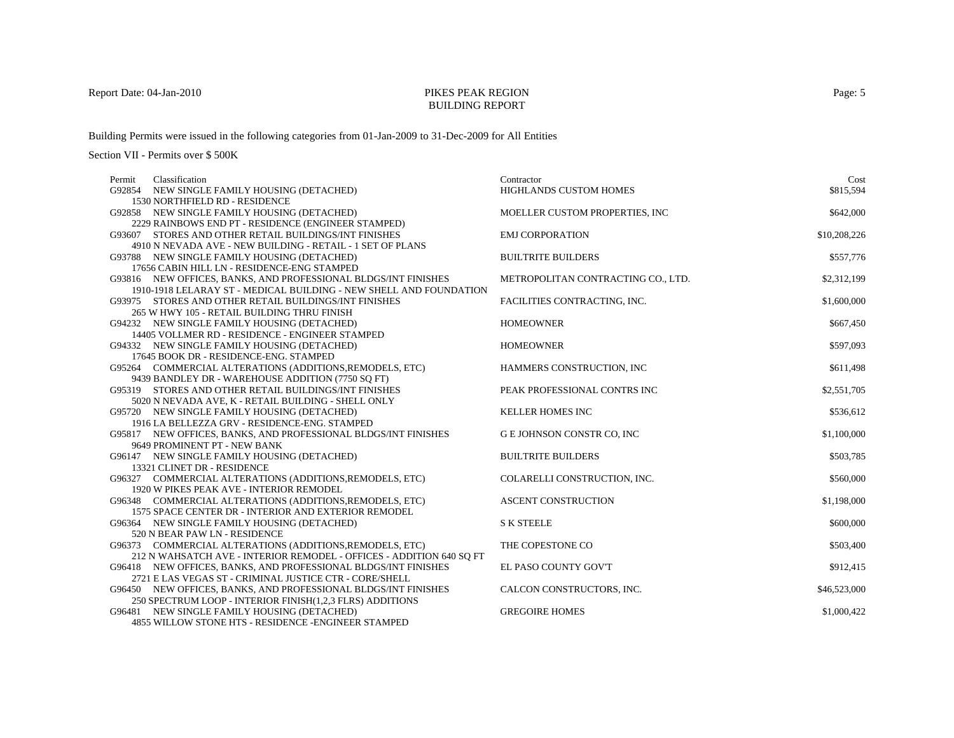## BUILDING REPORT

Building Permits were issued in the following categories from 01-Jan-2009 to 31-Dec-2009 for All Entities

Section VII - Permits over \$ 500K

| Permit | Classification                                                       | Contractor                         | Cost         |
|--------|----------------------------------------------------------------------|------------------------------------|--------------|
|        | G92854 NEW SINGLE FAMILY HOUSING (DETACHED)                          | HIGHLANDS CUSTOM HOMES             | \$815,594    |
|        | 1530 NORTHFIELD RD - RESIDENCE                                       |                                    |              |
|        | G92858 NEW SINGLE FAMILY HOUSING (DETACHED)                          | MOELLER CUSTOM PROPERTIES, INC     | \$642,000    |
|        | 2229 RAINBOWS END PT - RESIDENCE (ENGINEER STAMPED)                  |                                    |              |
|        | G93607 STORES AND OTHER RETAIL BUILDINGS/INT FINISHES                | <b>EMJ CORPORATION</b>             | \$10,208,226 |
|        | 4910 N NEVADA AVE - NEW BUILDING - RETAIL - 1 SET OF PLANS           |                                    |              |
|        | G93788 NEW SINGLE FAMILY HOUSING (DETACHED)                          | <b>BUILTRITE BUILDERS</b>          | \$557,776    |
|        | 17656 CABIN HILL LN - RESIDENCE-ENG STAMPED                          |                                    |              |
|        | G93816 NEW OFFICES, BANKS, AND PROFESSIONAL BLDGS/INT FINISHES       | METROPOLITAN CONTRACTING CO., LTD. | \$2,312,199  |
|        | 1910-1918 LELARAY ST - MEDICAL BUILDING - NEW SHELL AND FOUNDATION   |                                    |              |
|        | G93975 STORES AND OTHER RETAIL BUILDINGS/INT FINISHES                | FACILITIES CONTRACTING, INC.       | \$1,600,000  |
|        | 265 W HWY 105 - RETAIL BUILDING THRU FINISH                          |                                    |              |
|        | G94232 NEW SINGLE FAMILY HOUSING (DETACHED)                          | <b>HOMEOWNER</b>                   | \$667,450    |
|        | 14405 VOLLMER RD - RESIDENCE - ENGINEER STAMPED                      |                                    |              |
|        | G94332 NEW SINGLE FAMILY HOUSING (DETACHED)                          | <b>HOMEOWNER</b>                   | \$597,093    |
|        | 17645 BOOK DR - RESIDENCE-ENG. STAMPED                               |                                    |              |
|        | G95264 COMMERCIAL ALTERATIONS (ADDITIONS, REMODELS, ETC)             | HAMMERS CONSTRUCTION, INC          | \$611,498    |
|        | 9439 BANDLEY DR - WAREHOUSE ADDITION (7750 SO FT)                    |                                    |              |
|        | G95319 STORES AND OTHER RETAIL BUILDINGS/INT FINISHES                | PEAK PROFESSIONAL CONTRS INC       | \$2,551,705  |
|        | 5020 N NEVADA AVE, K - RETAIL BUILDING - SHELL ONLY                  |                                    |              |
|        | G95720 NEW SINGLE FAMILY HOUSING (DETACHED)                          | KELLER HOMES INC                   | \$536,612    |
|        | 1916 LA BELLEZZA GRV - RESIDENCE-ENG. STAMPED                        |                                    |              |
|        | G95817 NEW OFFICES, BANKS, AND PROFESSIONAL BLDGS/INT FINISHES       | G E JOHNSON CONSTR CO, INC         | \$1,100,000  |
|        | 9649 PROMINENT PT - NEW BANK                                         |                                    |              |
|        | G96147 NEW SINGLE FAMILY HOUSING (DETACHED)                          | <b>BUILTRITE BUILDERS</b>          | \$503,785    |
|        | 13321 CLINET DR - RESIDENCE                                          |                                    |              |
|        | G96327 COMMERCIAL ALTERATIONS (ADDITIONS, REMODELS, ETC)             | COLARELLI CONSTRUCTION, INC.       | \$560,000    |
|        | 1920 W PIKES PEAK AVE - INTERIOR REMODEL                             |                                    |              |
|        | G96348 COMMERCIAL ALTERATIONS (ADDITIONS, REMODELS, ETC)             | <b>ASCENT CONSTRUCTION</b>         | \$1,198,000  |
|        | 1575 SPACE CENTER DR - INTERIOR AND EXTERIOR REMODEL                 |                                    |              |
|        | G96364 NEW SINGLE FAMILY HOUSING (DETACHED)                          | <b>S K STEELE</b>                  | \$600,000    |
|        | 520 N BEAR PAW LN - RESIDENCE                                        |                                    |              |
|        | G96373 COMMERCIAL ALTERATIONS (ADDITIONS, REMODELS, ETC)             | THE COPESTONE CO                   | \$503,400    |
|        | 212 N WAHSATCH AVE - INTERIOR REMODEL - OFFICES - ADDITION 640 SO FT |                                    |              |
|        | G96418 NEW OFFICES, BANKS, AND PROFESSIONAL BLDGS/INT FINISHES       | EL PASO COUNTY GOV'T               | \$912,415    |
|        | 2721 E LAS VEGAS ST - CRIMINAL JUSTICE CTR - CORE/SHELL              |                                    |              |
|        | G96450 NEW OFFICES, BANKS, AND PROFESSIONAL BLDGS/INT FINISHES       | CALCON CONSTRUCTORS, INC.          | \$46,523,000 |
|        | 250 SPECTRUM LOOP - INTERIOR FINISH(1,2,3 FLRS) ADDITIONS            |                                    |              |
|        | G96481 NEW SINGLE FAMILY HOUSING (DETACHED)                          | <b>GREGOIRE HOMES</b>              | \$1,000,422  |
|        | 4855 WILLOW STONE HTS - RESIDENCE -ENGINEER STAMPED                  |                                    |              |

Page: 5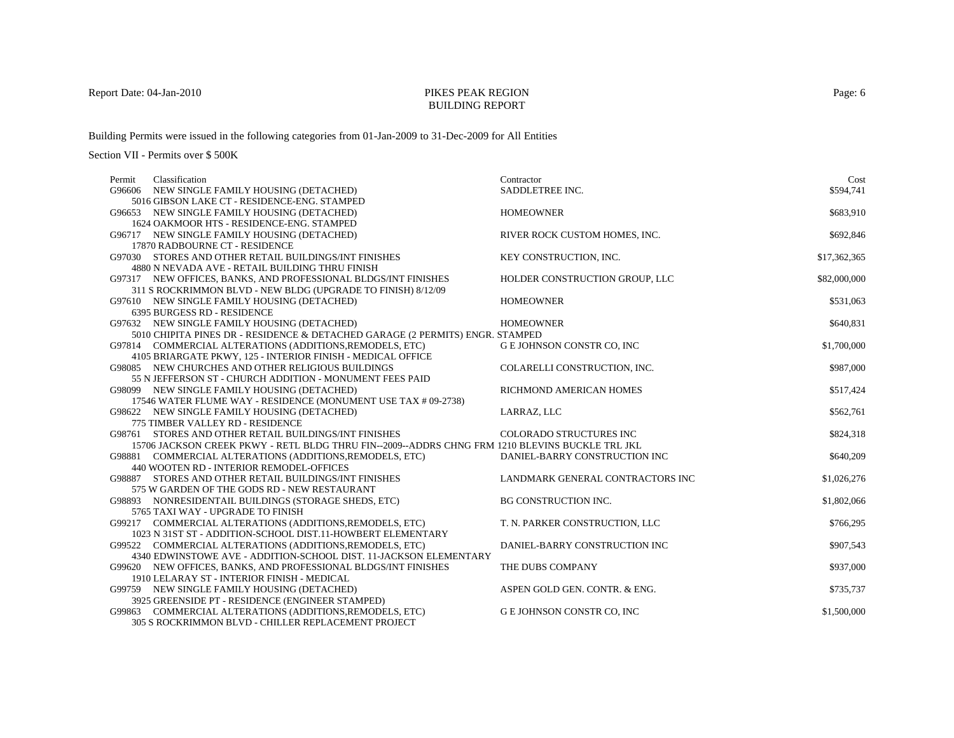### BUILDING REPORT

Building Permits were issued in the following categories from 01-Jan-2009 to 31-Dec-2009 for All Entities

| Permit | Classification                                                                                  | Contractor                        | Cost         |
|--------|-------------------------------------------------------------------------------------------------|-----------------------------------|--------------|
|        | G96606 NEW SINGLE FAMILY HOUSING (DETACHED)                                                     | SADDLETREE INC.                   | \$594,741    |
|        | 5016 GIBSON LAKE CT - RESIDENCE-ENG. STAMPED                                                    |                                   |              |
|        | G96653 NEW SINGLE FAMILY HOUSING (DETACHED)                                                     | <b>HOMEOWNER</b>                  | \$683,910    |
|        | 1624 OAKMOOR HTS - RESIDENCE-ENG. STAMPED                                                       |                                   |              |
|        | G96717 NEW SINGLE FAMILY HOUSING (DETACHED)                                                     | RIVER ROCK CUSTOM HOMES, INC.     | \$692,846    |
|        | 17870 RADBOURNE CT - RESIDENCE                                                                  |                                   |              |
|        | G97030 STORES AND OTHER RETAIL BUILDINGS/INT FINISHES                                           | KEY CONSTRUCTION, INC.            | \$17,362,365 |
|        | 4880 N NEVADA AVE - RETAIL BUILDING THRU FINISH                                                 |                                   |              |
|        | G97317 NEW OFFICES, BANKS, AND PROFESSIONAL BLDGS/INT FINISHES                                  | HOLDER CONSTRUCTION GROUP, LLC    | \$82,000,000 |
|        | 311 S ROCKRIMMON BLVD - NEW BLDG (UPGRADE TO FINISH) 8/12/09                                    |                                   |              |
|        | G97610 NEW SINGLE FAMILY HOUSING (DETACHED)                                                     | <b>HOMEOWNER</b>                  | \$531,063    |
|        | 6395 BURGESS RD - RESIDENCE                                                                     |                                   |              |
|        | G97632 NEW SINGLE FAMILY HOUSING (DETACHED)                                                     | <b>HOMEOWNER</b>                  | \$640,831    |
|        | 5010 CHIPITA PINES DR - RESIDENCE & DETACHED GARAGE (2 PERMITS) ENGR. STAMPED                   |                                   |              |
|        | G97814 COMMERCIAL ALTERATIONS (ADDITIONS, REMODELS, ETC)                                        | G E JOHNSON CONSTR CO, INC        | \$1,700,000  |
|        | 4105 BRIARGATE PKWY, 125 - INTERIOR FINISH - MEDICAL OFFICE                                     |                                   |              |
|        | G98085 NEW CHURCHES AND OTHER RELIGIOUS BUILDINGS                                               | COLARELLI CONSTRUCTION, INC.      | \$987,000    |
|        | 55 N JEFFERSON ST - CHURCH ADDITION - MONUMENT FEES PAID                                        |                                   |              |
|        | G98099 NEW SINGLE FAMILY HOUSING (DETACHED)                                                     | RICHMOND AMERICAN HOMES           | \$517,424    |
|        | 17546 WATER FLUME WAY - RESIDENCE (MONUMENT USE TAX # 09-2738)                                  |                                   |              |
|        | G98622 NEW SINGLE FAMILY HOUSING (DETACHED)                                                     | LARRAZ, LLC                       | \$562,761    |
|        | 775 TIMBER VALLEY RD - RESIDENCE                                                                |                                   |              |
|        | G98761 STORES AND OTHER RETAIL BUILDINGS/INT FINISHES                                           | COLORADO STRUCTURES INC           | \$824,318    |
|        | 15706 JACKSON CREEK PKWY - RETL BLDG THRU FIN--2009--ADDRS CHNG FRM 1210 BLEVINS BUCKLE TRL JKL |                                   |              |
|        | G98881 COMMERCIAL ALTERATIONS (ADDITIONS, REMODELS, ETC)                                        | DANIEL-BARRY CONSTRUCTION INC     | \$640,209    |
|        | 440 WOOTEN RD - INTERIOR REMODEL-OFFICES                                                        |                                   |              |
|        | G98887 STORES AND OTHER RETAIL BUILDINGS/INT FINISHES                                           | LANDMARK GENERAL CONTRACTORS INC  | \$1,026,276  |
|        | 575 W GARDEN OF THE GODS RD - NEW RESTAURANT                                                    |                                   |              |
|        | G98893 NONRESIDENTAIL BUILDINGS (STORAGE SHEDS, ETC)                                            | BG CONSTRUCTION INC.              | \$1,802,066  |
|        | 5765 TAXI WAY - UPGRADE TO FINISH                                                               |                                   |              |
|        | G99217 COMMERCIAL ALTERATIONS (ADDITIONS, REMODELS, ETC)                                        | T. N. PARKER CONSTRUCTION, LLC    | \$766,295    |
|        | 1023 N 31ST ST - ADDITION-SCHOOL DIST.11-HOWBERT ELEMENTARY                                     |                                   |              |
|        | G99522 COMMERCIAL ALTERATIONS (ADDITIONS, REMODELS, ETC)                                        | DANIEL-BARRY CONSTRUCTION INC     | \$907,543    |
|        | 4340 EDWINSTOWE AVE - ADDITION-SCHOOL DIST. 11-JACKSON ELEMENTARY                               |                                   |              |
|        | G99620 NEW OFFICES, BANKS, AND PROFESSIONAL BLDGS/INT FINISHES                                  | THE DUBS COMPANY                  | \$937,000    |
|        | 1910 LELARAY ST - INTERIOR FINISH - MEDICAL                                                     |                                   |              |
|        | G99759 NEW SINGLE FAMILY HOUSING (DETACHED)                                                     | ASPEN GOLD GEN. CONTR. & ENG.     | \$735,737    |
|        | 3925 GREENSIDE PT - RESIDENCE (ENGINEER STAMPED)                                                |                                   |              |
|        | G99863 COMMERCIAL ALTERATIONS (ADDITIONS, REMODELS, ETC)                                        | <b>G E JOHNSON CONSTR CO, INC</b> | \$1,500,000  |
|        | 305 S ROCKRIMMON BLVD - CHILLER REPLACEMENT PROJECT                                             |                                   |              |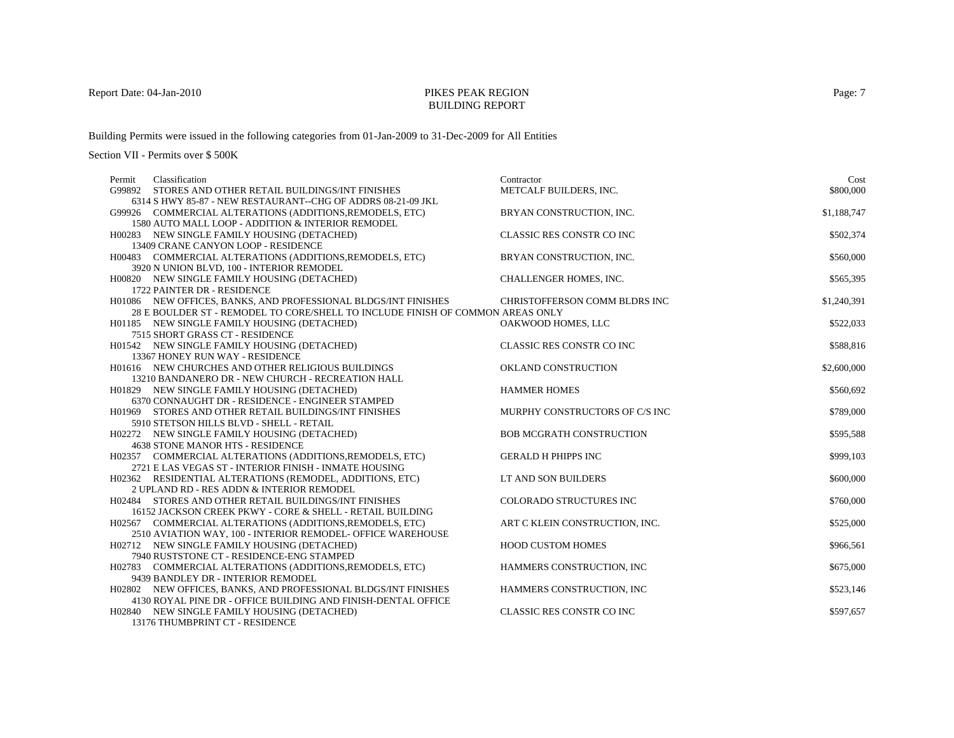## BUILDING REPORT

Building Permits were issued in the following categories from 01-Jan-2009 to 31-Dec-2009 for All Entities

Section VII - Permits over \$ 500K

| Classification<br>Permit                                                       | Contractor                       | Cost        |
|--------------------------------------------------------------------------------|----------------------------------|-------------|
| G99892 STORES AND OTHER RETAIL BUILDINGS/INT FINISHES                          | METCALF BUILDERS, INC.           | \$800,000   |
| 6314 S HWY 85-87 - NEW RESTAURANT--CHG OF ADDRS 08-21-09 JKL                   |                                  |             |
| G99926 COMMERCIAL ALTERATIONS (ADDITIONS, REMODELS, ETC)                       | BRYAN CONSTRUCTION, INC.         | \$1,188,747 |
| 1580 AUTO MALL LOOP - ADDITION & INTERIOR REMODEL                              |                                  |             |
| H00283 NEW SINGLE FAMILY HOUSING (DETACHED)                                    | <b>CLASSIC RES CONSTR CO INC</b> | \$502,374   |
| 13409 CRANE CANYON LOOP - RESIDENCE                                            |                                  |             |
| H00483 COMMERCIAL ALTERATIONS (ADDITIONS, REMODELS, ETC)                       | BRYAN CONSTRUCTION, INC.         | \$560,000   |
| 3920 N UNION BLVD, 100 - INTERIOR REMODEL                                      |                                  |             |
| H00820 NEW SINGLE FAMILY HOUSING (DETACHED)                                    | CHALLENGER HOMES, INC.           | \$565,395   |
| 1722 PAINTER DR - RESIDENCE                                                    |                                  |             |
| H01086 NEW OFFICES, BANKS, AND PROFESSIONAL BLDGS/INT FINISHES                 | CHRISTOFFERSON COMM BLDRS INC    | \$1,240,391 |
| 28 E BOULDER ST - REMODEL TO CORE/SHELL TO INCLUDE FINISH OF COMMON AREAS ONLY |                                  |             |
| H01185 NEW SINGLE FAMILY HOUSING (DETACHED)                                    | OAKWOOD HOMES, LLC               | \$522,033   |
| 7515 SHORT GRASS CT - RESIDENCE<br>H01542 NEW SINGLE FAMILY HOUSING (DETACHED) | CLASSIC RES CONSTR CO INC        | \$588,816   |
| 13367 HONEY RUN WAY - RESIDENCE                                                |                                  |             |
| H01616 NEW CHURCHES AND OTHER RELIGIOUS BUILDINGS                              | OKLAND CONSTRUCTION              | \$2,600,000 |
| 13210 BANDANERO DR - NEW CHURCH - RECREATION HALL                              |                                  |             |
| H01829 NEW SINGLE FAMILY HOUSING (DETACHED)                                    | <b>HAMMER HOMES</b>              | \$560,692   |
| 6370 CONNAUGHT DR - RESIDENCE - ENGINEER STAMPED                               |                                  |             |
| H01969 STORES AND OTHER RETAIL BUILDINGS/INT FINISHES                          | MURPHY CONSTRUCTORS OF C/S INC   | \$789,000   |
| 5910 STETSON HILLS BLVD - SHELL - RETAIL                                       |                                  |             |
| H02272 NEW SINGLE FAMILY HOUSING (DETACHED)                                    | <b>BOB MCGRATH CONSTRUCTION</b>  | \$595,588   |
| 4638 STONE MANOR HTS - RESIDENCE                                               |                                  |             |
| H02357 COMMERCIAL ALTERATIONS (ADDITIONS, REMODELS, ETC)                       | <b>GERALD H PHIPPS INC</b>       | \$999,103   |
| 2721 E LAS VEGAS ST - INTERIOR FINISH - INMATE HOUSING                         |                                  |             |
| H02362 RESIDENTIAL ALTERATIONS (REMODEL, ADDITIONS, ETC)                       | LT AND SON BUILDERS              | \$600,000   |
| 2 UPLAND RD - RES ADDN & INTERIOR REMODEL                                      |                                  |             |
| H02484 STORES AND OTHER RETAIL BUILDINGS/INT FINISHES                          | COLORADO STRUCTURES INC          | \$760,000   |
| 16152 JACKSON CREEK PKWY - CORE & SHELL - RETAIL BUILDING                      |                                  |             |
| H02567 COMMERCIAL ALTERATIONS (ADDITIONS, REMODELS, ETC)                       | ART C KLEIN CONSTRUCTION, INC.   | \$525,000   |
| 2510 AVIATION WAY, 100 - INTERIOR REMODEL- OFFICE WAREHOUSE                    |                                  |             |
| H02712 NEW SINGLE FAMILY HOUSING (DETACHED)                                    | <b>HOOD CUSTOM HOMES</b>         | \$966,561   |
| 7940 RUSTSTONE CT - RESIDENCE-ENG STAMPED                                      |                                  |             |
| H02783 COMMERCIAL ALTERATIONS (ADDITIONS, REMODELS, ETC)                       | HAMMERS CONSTRUCTION, INC        | \$675,000   |
| 9439 BANDLEY DR - INTERIOR REMODEL                                             |                                  |             |
| H02802 NEW OFFICES, BANKS, AND PROFESSIONAL BLDGS/INT FINISHES                 | HAMMERS CONSTRUCTION, INC        | \$523,146   |
| 4130 ROYAL PINE DR - OFFICE BUILDING AND FINISH-DENTAL OFFICE                  |                                  |             |
| H02840 NEW SINGLE FAMILY HOUSING (DETACHED)                                    | CLASSIC RES CONSTR CO INC        | \$597,657   |

13176 THUMBPRINT CT - RESIDENCE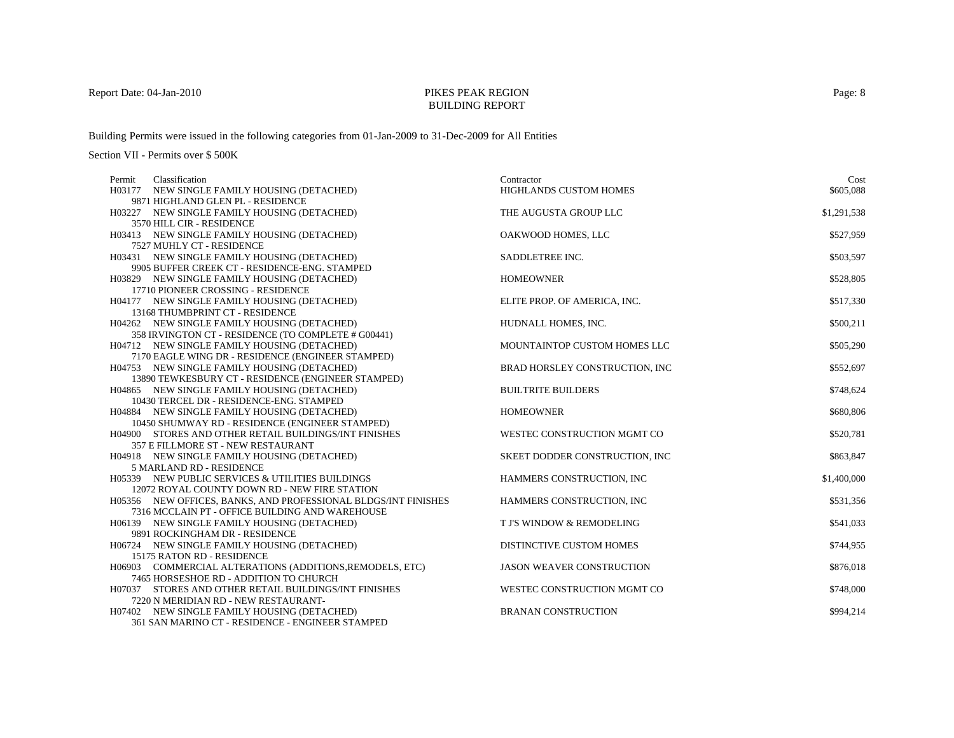## BUILDING REPORT

Building Permits were issued in the following categories from 01-Jan-2009 to 31-Dec-2009 for All Entities

Section VII - Permits over \$ 500K

| Classification<br>Permit                                       | Contractor                       | Cost        |
|----------------------------------------------------------------|----------------------------------|-------------|
| H03177 NEW SINGLE FAMILY HOUSING (DETACHED)                    | HIGHLANDS CUSTOM HOMES           | \$605,088   |
| 9871 HIGHLAND GLEN PL - RESIDENCE                              |                                  |             |
| H03227 NEW SINGLE FAMILY HOUSING (DETACHED)                    | THE AUGUSTA GROUP LLC            | \$1,291,538 |
| 3570 HILL CIR - RESIDENCE                                      |                                  |             |
| H03413 NEW SINGLE FAMILY HOUSING (DETACHED)                    | OAKWOOD HOMES, LLC               | \$527,959   |
| 7527 MUHLY CT - RESIDENCE                                      |                                  |             |
| H03431 NEW SINGLE FAMILY HOUSING (DETACHED)                    | SADDLETREE INC.                  | \$503,597   |
| 9905 BUFFER CREEK CT - RESIDENCE-ENG. STAMPED                  |                                  |             |
| H03829 NEW SINGLE FAMILY HOUSING (DETACHED)                    | <b>HOMEOWNER</b>                 | \$528,805   |
| 17710 PIONEER CROSSING - RESIDENCE                             |                                  |             |
| H04177 NEW SINGLE FAMILY HOUSING (DETACHED)                    | ELITE PROP. OF AMERICA, INC.     | \$517,330   |
| 13168 THUMBPRINT CT - RESIDENCE                                |                                  |             |
| H04262 NEW SINGLE FAMILY HOUSING (DETACHED)                    | HUDNALL HOMES, INC.              | \$500,211   |
| 358 IRVINGTON CT - RESIDENCE (TO COMPLETE # G00441)            |                                  |             |
| H04712 NEW SINGLE FAMILY HOUSING (DETACHED)                    | MOUNTAINTOP CUSTOM HOMES LLC     | \$505,290   |
| 7170 EAGLE WING DR - RESIDENCE (ENGINEER STAMPED)              |                                  |             |
| H04753 NEW SINGLE FAMILY HOUSING (DETACHED)                    | BRAD HORSLEY CONSTRUCTION, INC   | \$552,697   |
| 13890 TEWKESBURY CT - RESIDENCE (ENGINEER STAMPED)             |                                  |             |
| H04865 NEW SINGLE FAMILY HOUSING (DETACHED)                    | <b>BUILTRITE BUILDERS</b>        | \$748,624   |
| 10430 TERCEL DR - RESIDENCE-ENG. STAMPED                       |                                  |             |
| H04884 NEW SINGLE FAMILY HOUSING (DETACHED)                    | <b>HOMEOWNER</b>                 | \$680,806   |
| 10450 SHUMWAY RD - RESIDENCE (ENGINEER STAMPED)                |                                  |             |
| H04900 STORES AND OTHER RETAIL BUILDINGS/INT FINISHES          | WESTEC CONSTRUCTION MGMT CO      | \$520,781   |
| 357 E FILLMORE ST - NEW RESTAURANT                             |                                  |             |
| H04918 NEW SINGLE FAMILY HOUSING (DETACHED)                    | SKEET DODDER CONSTRUCTION, INC   | \$863,847   |
| 5 MARLAND RD - RESIDENCE                                       |                                  |             |
| H05339 NEW PUBLIC SERVICES & UTILITIES BUILDINGS               | HAMMERS CONSTRUCTION, INC        | \$1,400,000 |
| 12072 ROYAL COUNTY DOWN RD - NEW FIRE STATION                  |                                  |             |
| H05356 NEW OFFICES, BANKS, AND PROFESSIONAL BLDGS/INT FINISHES | HAMMERS CONSTRUCTION, INC        | \$531,356   |
| 7316 MCCLAIN PT - OFFICE BUILDING AND WAREHOUSE                |                                  |             |
| H06139 NEW SINGLE FAMILY HOUSING (DETACHED)                    | T J'S WINDOW & REMODELING        | \$541,033   |
| 9891 ROCKINGHAM DR - RESIDENCE                                 |                                  |             |
| H06724 NEW SINGLE FAMILY HOUSING (DETACHED)                    | DISTINCTIVE CUSTOM HOMES         | \$744,955   |
| 15175 RATON RD - RESIDENCE                                     |                                  |             |
| H06903 COMMERCIAL ALTERATIONS (ADDITIONS, REMODELS, ETC)       | <b>JASON WEAVER CONSTRUCTION</b> | \$876,018   |
| 7465 HORSESHOE RD - ADDITION TO CHURCH                         |                                  |             |
| H07037 STORES AND OTHER RETAIL BUILDINGS/INT FINISHES          | WESTEC CONSTRUCTION MGMT CO      | \$748,000   |
| 7220 N MERIDIAN RD - NEW RESTAURANT-                           |                                  |             |
| H07402 NEW SINGLE FAMILY HOUSING (DETACHED)                    | <b>BRANAN CONSTRUCTION</b>       | \$994.214   |

361 SAN MARINO CT - RESIDENCE - ENGINEER STAMPED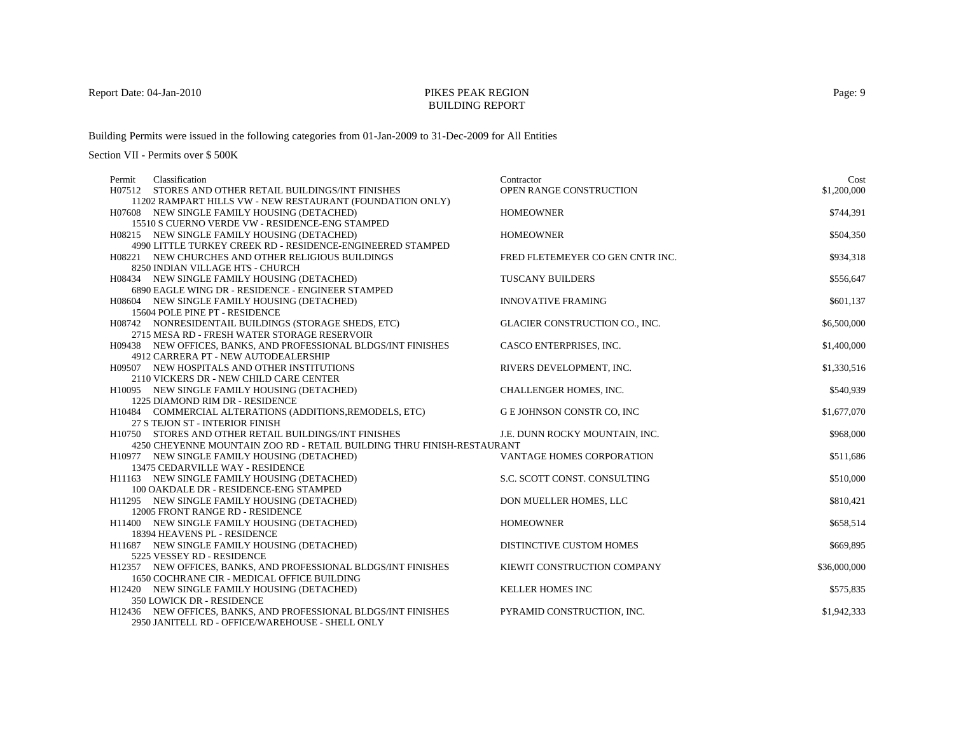## BUILDING REPORT

Building Permits were issued in the following categories from 01-Jan-2009 to 31-Dec-2009 for All Entities

| Classification<br>Permit                                                        | Contractor                       | Cost         |
|---------------------------------------------------------------------------------|----------------------------------|--------------|
| H07512 STORES AND OTHER RETAIL BUILDINGS/INT FINISHES                           | <b>OPEN RANGE CONSTRUCTION</b>   | \$1,200,000  |
| 11202 RAMPART HILLS VW - NEW RESTAURANT (FOUNDATION ONLY)                       |                                  |              |
| H07608 NEW SINGLE FAMILY HOUSING (DETACHED)                                     | <b>HOMEOWNER</b>                 | \$744,391    |
| 15510 S CUERNO VERDE VW - RESIDENCE-ENG STAMPED                                 |                                  |              |
| H08215 NEW SINGLE FAMILY HOUSING (DETACHED)                                     | <b>HOMEOWNER</b>                 | \$504,350    |
| 4990 LITTLE TURKEY CREEK RD - RESIDENCE-ENGINEERED STAMPED                      |                                  |              |
| H08221 NEW CHURCHES AND OTHER RELIGIOUS BUILDINGS                               | FRED FLETEMEYER CO GEN CNTR INC. | \$934,318    |
| 8250 INDIAN VILLAGE HTS - CHURCH                                                |                                  |              |
| H08434 NEW SINGLE FAMILY HOUSING (DETACHED)                                     | <b>TUSCANY BUILDERS</b>          | \$556,647    |
| 6890 EAGLE WING DR - RESIDENCE - ENGINEER STAMPED                               |                                  |              |
| H08604 NEW SINGLE FAMILY HOUSING (DETACHED)                                     | <b>INNOVATIVE FRAMING</b>        | \$601,137    |
| 15604 POLE PINE PT - RESIDENCE                                                  |                                  |              |
| H08742 NONRESIDENTAIL BUILDINGS (STORAGE SHEDS, ETC)                            | GLACIER CONSTRUCTION CO., INC.   | \$6,500,000  |
| 2715 MESA RD - FRESH WATER STORAGE RESERVOIR                                    |                                  |              |
| H09438 NEW OFFICES, BANKS, AND PROFESSIONAL BLDGS/INT FINISHES                  | CASCO ENTERPRISES, INC.          | \$1,400,000  |
| 4912 CARRERA PT - NEW AUTODEALERSHIP                                            |                                  |              |
| H09507 NEW HOSPITALS AND OTHER INSTITUTIONS                                     | RIVERS DEVELOPMENT, INC.         | \$1,330,516  |
| 2110 VICKERS DR - NEW CHILD CARE CENTER                                         |                                  |              |
| H10095 NEW SINGLE FAMILY HOUSING (DETACHED)                                     | CHALLENGER HOMES, INC.           | \$540,939    |
| 1225 DIAMOND RIM DR - RESIDENCE                                                 |                                  |              |
| H10484 COMMERCIAL ALTERATIONS (ADDITIONS, REMODELS, ETC)                        | G E JOHNSON CONSTR CO, INC       | \$1,677,070  |
| 27 S TEJON ST - INTERIOR FINISH                                                 |                                  |              |
| H10750 STORES AND OTHER RETAIL BUILDINGS/INT FINISHES                           | J.E. DUNN ROCKY MOUNTAIN, INC.   | \$968,000    |
| 4250 CHEYENNE MOUNTAIN ZOO RD - RETAIL BUILDING THRU FINISH-RESTAURANT          | VANTAGE HOMES CORPORATION        | \$511,686    |
| H10977 NEW SINGLE FAMILY HOUSING (DETACHED)<br>13475 CEDARVILLE WAY - RESIDENCE |                                  |              |
| H11163 NEW SINGLE FAMILY HOUSING (DETACHED)                                     | S.C. SCOTT CONST. CONSULTING     | \$510,000    |
| 100 OAKDALE DR - RESIDENCE-ENG STAMPED                                          |                                  |              |
| H11295 NEW SINGLE FAMILY HOUSING (DETACHED)                                     | DON MUELLER HOMES, LLC           | \$810,421    |
| 12005 FRONT RANGE RD - RESIDENCE                                                |                                  |              |
| H11400 NEW SINGLE FAMILY HOUSING (DETACHED)                                     | <b>HOMEOWNER</b>                 | \$658.514    |
| 18394 HEAVENS PL - RESIDENCE                                                    |                                  |              |
| H11687 NEW SINGLE FAMILY HOUSING (DETACHED)                                     | DISTINCTIVE CUSTOM HOMES         | \$669,895    |
| 5225 VESSEY RD - RESIDENCE                                                      |                                  |              |
| H12357 NEW OFFICES, BANKS, AND PROFESSIONAL BLDGS/INT FINISHES                  | KIEWIT CONSTRUCTION COMPANY      | \$36,000,000 |
| 1650 COCHRANE CIR - MEDICAL OFFICE BUILDING                                     |                                  |              |
| H12420 NEW SINGLE FAMILY HOUSING (DETACHED)                                     | KELLER HOMES INC                 | \$575,835    |
| 350 LOWICK DR - RESIDENCE                                                       |                                  |              |
| H12436 NEW OFFICES, BANKS, AND PROFESSIONAL BLDGS/INT FINISHES                  | PYRAMID CONSTRUCTION, INC.       | \$1,942,333  |
| 2950 JANITELL RD - OFFICE/WAREHOUSE - SHELL ONLY                                |                                  |              |